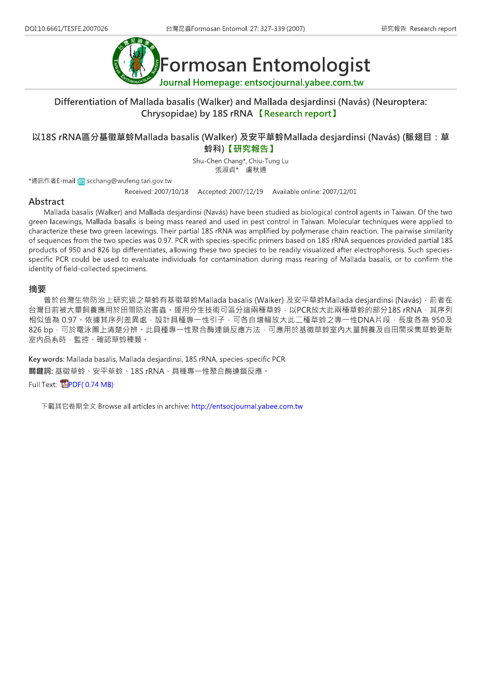

## Differentiation of Mallada basalis (Walker) and Mallada desjardinsi (Navás) (Neuroptera: Chrysopidae) by 18S rRNA 【Research report】

## 以18S rRNA區分基徵草蛉Mallada basalis (Walker) 及安平草蛉Mallada desjardinsi (Navás) (脈翅目: 草 蛉科)【研究報告】

Shu-Chen Chang\*, Chiu-Tung Lu 張淑貞\* 盧秋通

\*通訊作者E-mail: n scchang@wufeng.tari.gov.tw

Received: 2007/10/18 Accepted: 2007/12/19 Available online: 2007/12/01

#### Abstract

Mallada basalis (Walker) and Mallada desjardinsi (Navás) have been studied as biological control agents in Taiwan. Of the two green lacewings, Mallada basalis is being mass reared and used in pest control in Taiwan. Molecular techniques were applied to characterize these two green lacewings. Their partial 18S rRNA was amplified by polymerase chain reaction. The pairwise similarity of sequences from the two species was 0.97. PCR with species-specific primers based on 18S rRNA sequences provided partial 18S products of 950 and 826 bp differentiates, allowing these two species to be readily visualized after electrophoresis. Such speciesspecific PCR could be used to evaluate individuals for contamination during mass rearing of Mallada basalis, or to confirm the identity of field-collected specimens.

#### 摘要

曾於台灣生物防治上研究過之草蛉有基徵草蛉Mallada basalis (Walker) 及安平草蛉Mallada desjardinsi (Navás) · 前者在 台灣目前被大量飼養應用於田間防治害蟲。運用分生技術可區分這兩種草蛉,以PCR放大此兩種草蛉的部分18S rRNA, 其序列 相似值為 0.97。依據其序列差異處,設計具種專一性引子,可各自增幅放大此二種草蛉之專一性DNA片段,長度各為 950及 826 bp · 可於電泳圖上清楚分辨。此具種專一性聚合酶連鎖反應方法,可應用於基徵草蛉室內大量飼養及自田間採集草蛉更新 室內品系時,監控、確認草蛉種類。

Key words: Mallada basalis, Mallada desjardinsi, 18S rRNA, species-specific PCR 關鍵詞:基徵草蛉、安平草蛉、18S rRNA、具種專一性聚合酶連鎖反應。

Full Text: **EPDF(0.74 MB)** 

下載其它卷期全文 Browse all articles in archive: http://entsocjournal.yabee.com.tw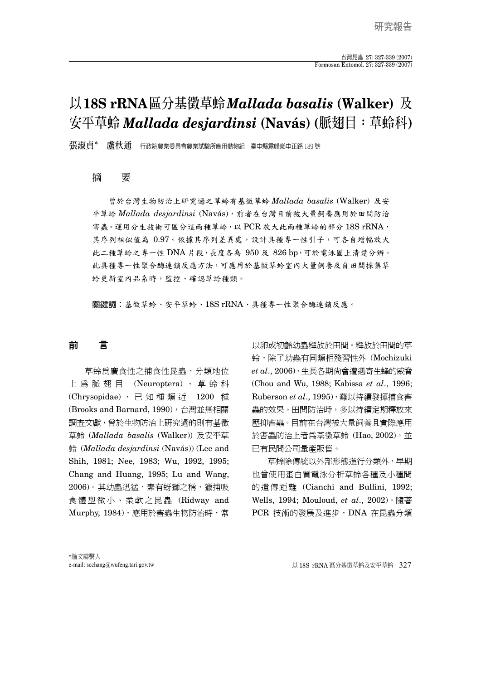# **以18S rRNA區分基徵草蛉***Mallada basalis* **(Walker) 及 安平草蛉** *Mallada desjardinsi* **(Navás) (脈翅目:草蛉科)**

**張淑貞\* 盧秋通** 行政院農業委員會農業試驗所應用動物組 臺中縣霧峰鄉中正路 189 號

#### **摘 要**

 曾於台灣生物防治上研究過之草蛉有基徵草蛉 *Mallada basalis* (Walker) 及安 平草蛉 *Mallada desjardinsi* (Navás),前者在台灣目前被大量飼養應用於田間防治 害蟲。運用分生技術可區分這兩種草蛉,以 PCR 放大此兩種草蛉的部分  $18\mathrm{S}$  rRNA, 其序列相似值為 0.97。依據其序列差異處,設計具種專一性引子,可各自增幅放大 此二種草蛉之專一性 DNA 片段,長度各為 950 及 826 bp,可於電泳圖上清楚分辨。 此具種專一性聚合酶連鎖反應方法,可應用於基徵草蛉室內大量飼養及自田間採集草 蛉更新室內品系時,監控、確認草蛉種類。

關鍵詞:基徵草蛉、安平草蛉、18S rRNA、具種專一性聚合酶連鎖反應。

## 前 言

草蛉為廣食性之捕食性昆蟲,分類地位 上為脈翅目 (Neuroptera) 、草蛉科 (Chrysopidae), 已知種類沂 1200 種 (Brooks and Barnard, 1990), 台灣並無相關 調查文獻,曾於生物防治上研究過的則有基徵 草蛉 (*Mallada basalis* (Walker)) 及安平草 蛉 (*Mallada desjardinsi* (Navás)) (Lee and Shih, 1981; Nee, 1983; Wu, 1992, 1995; Chang and Huang, 1995; Lu and Wang, 2006)。其幼蟲迅猛,素有蚜獅之稱,獵捕吸 食體型微小、柔軟之昆蟲 (Ridway and Murphy, 1984),應用於害蟲生物防治時,常

以卵或初齡幼蟲釋放於田間。釋放於田間的草 蛉,除了幼蟲有同類相殘習性外 (Mochizuki *et al*., 2006),生長各期尚會遭遇寄生蜂的威脅 (Chou and Wu, 1988; Kabissa *et al*., 1996; Ruberson *et al*., 1995),難以持續發揮捕食害 蟲的效果。田間防治時,多以持續定期釋放來 壓抑害蟲。目前在台灣被大量飼養且實際應用 於害蟲防治上者爲基徵草蛉 (Hao, 2002), 並 已有民間公司量產販售。

草蛉除傳統以外部形態進行分類外,早期 也曾使用蛋白質電泳分析草蛉各種及小種間 的遺傳距離 (Cianchi and Bullini, 1992; Wells, 1994; Mouloud, *et al*., 2002)。隨著 PCR 技術的發展及進步, DNA 在昆蟲分類

e-mail: scchang@wufeng.tari.gov.tw 以 18S rRNA 區分基徵草蛉及安平草蛉 327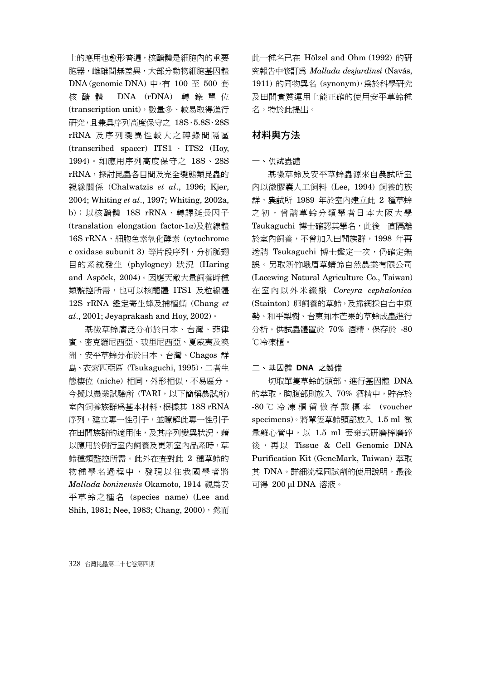上的應用也愈形普遍,核醣體是細胞內的重要 胞器,雌雄間無差異,大部分動物細胞基因體 DNA (genomic DNA) 中,有 100 至 500 套 核醣體 DNA (rDNA) 轉錄單位 (transcription unit),數量多、較易取得進行 研究,且兼具序列高度保守之 18S、5.8S、28S rRNA 及序列變異性較大之轉錄間隔區 (transcribed spacer) ITS1 、 ITS2 (Hoy, 1994)。如應用序列高度保守之 18S、28S rRNA,探討昆蟲各目間及完全變態類昆蟲的 親緣關係 (Chalwatzis *et al*., 1996; Kjer, 2004; Whiting *et al*., 1997; Whiting, 2002a, b);以核醣體 18S rRNA、轉譯延長因子 (translation elongation factor-1α)及粒線體 16S rRNA、細胞色素氧化酵素 (cytochrome c oxidase subunit 3) 等片段序列,分析脈翅 目的系統發生 (phylogney) 狀況 (Haring and Aspöck, 2004)。因應天敵大量飼養時種 類監控所需,也可以核醣體 ITS1 及粒線體 12S rRNA 鑑定寄生蜂及捕植蟎 (Chang *et al*., 2001; Jeyaprakash and Hoy, 2002)。

基徵草蛉廣泛分布於日本、台灣、菲律 賓、密克羅尼西亞、玻里尼西亞、夏威夷及澳 洲,安平草蛉分布於日本、台灣、Chagos 群 島、衣索匹亞區 (Tsukaguchi, 1995),二者生 態棲位 (niche) 相同,外形相似,不易區分。 今擬以農業試驗所 (TARI,以下簡稱農試所) 室內飼養族群為基本材料,根據其 18S rRNA 序列,建立專一性引子,並瞭解此專一性引子 在田間族群的適用性,及其序列變異狀況,藉 以應用於例行室內飼養及更新室內品系時,草 蛉種類監控所需。此外在查對此 2 種草蛉的 物種學名過程中,發現以往我國學者將 *Mallada boninensis* Okamoto, 1914 視為安 平草蛉之種名 (species name) (Lee and Shih, 1981; Nee, 1983; Chang, 2000),然而

此一種名已在 Hölzel and Ohm (1992) 的研 究報告中修訂為 *Mallada desjardinsi* (Navás, 1911) 的同物異名 (synonym),為於科學研究 及田間實質運用上能正確的使用安平草蛉種 名,特於此提出。

### 材料與方法

#### 一、供試蟲體

基徵草蛉及安平草蛉蟲源來自農試所室 內以微膠囊人工飼料 (Lee, 1994) 飼養的族 群,農試所 1989 年於室內建立此 2 種草蛉 之初,曾請草蛉分類學者日本大阪大學 Tsukaguchi 博士確認其學名,此後一直隔離 於室內飼養,不曾加入田間族群,1998 年再 送請 Tsukaguchi 博士鑑定一次,仍確定無 誤。另取新竹峨眉草蜻蛉自然農業有限公司 (Lacewing Natural Agriculture Co., Taiwan) 在室內以外米綴蛾 *Corcyra cephalonica* (Stainton) 卵飼養的草蛉,及掃網採自台中東 勢、和平梨樹、台東知本芒果的草蛉成蟲進行 分析。供試蟲體置於 70% 酒精, 保存於 -80 ℃冷凍櫃。

#### 二、基因體 **DNA** 之製備

切取單隻草蛉的頭部,進行基因體 DNA 的萃取,胸腹部則放入 70% 酒精中,貯存於 -80 ℃冷凍櫃留做存證標本 (voucher specimens)。將單隻草蛉頭部放入 1.5 ml 微 量離心管中,以 1.5 ml 丟棄式研磨棒磨碎 後,再以 Tissue & Cell Genomic DNA Purification Kit (GeneMark, Taiwan) 萃取 其 DNA。詳細流程同試劑的使用說明,最後 可得 200 μl DNA 溶液。

328 台灣昆蟲第二十七卷第四期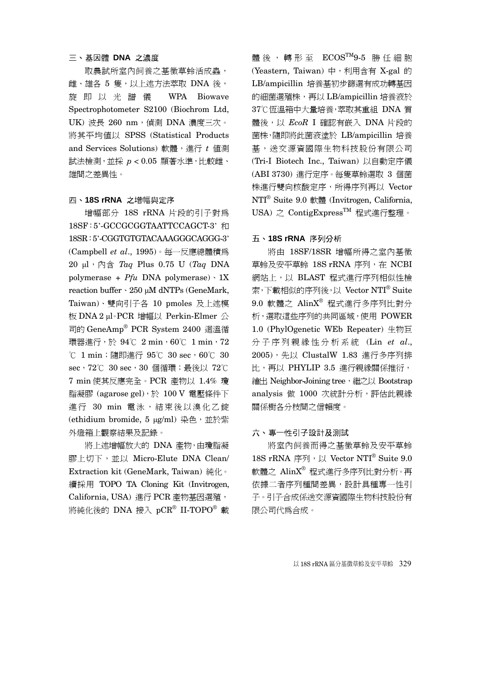## 三、基因體 **DNA** 之濃度

取農試所室內飼養之基徵草蛉活成蟲, 雌、雄各 5 隻,以上述方法萃取 DNA 後, 旋即以光譜儀 WPA Biowave Spectrophotometer S2100 (Biochrom Ltd, UK) 波長 260 nm, 偵測 DNA 濃度三次。 將其平均值以 SPSS (Statistical Products and Services Solutions) 軟體, 進行 t 値測 試法檢測,並採 *p* < 0.05 顯著水準,比較雌、 雄間之差異性。

#### 四、**18S rRNA** 之增幅與定序

增幅部分 18S rRNA 片段的引子對為 18SF:5'-GCCGCGGTAATTCCAGCT-3' 和 18SR:5'-CGGTGTGTACAAAGGGCAGGG-3' (Campbell *et al*., 1995)。每一反應總體積為 20 μl,內含 *Taq* Plus 0.75 U (*Taq* DNA polymerase + *Pfu* DNA polymerase)、1X reaction buffer、250 μM dNTPs (GeneMark, Taiwan)、雙向引子各 10 pmoles 及上述模 板 DNA 2 μl。PCR 增幅以 Perkin-Elmer 公 司的 GeneAmp® PCR System 2400 迴溫循 環器進行,於 94℃ 2 min, 60℃ 1 min, 72 ℃ 1 min;隨即進行 95℃ 30 sec,60℃ 30 sec, 72℃ 30 sec, 30 個循環;最後以 72℃ 7 min 使其反應完全。PCR 產物以 1.4% 瓊 脂凝膠 (agarose gel),於 100 V 雷壓條件下 進行 30 min 電泳,結束後以溴化乙錠 (ethidium bromide, 5 μg/ml) 染色, 並於紫 外燈箱上觀察結果及記錄。

將上述增幅放大的 DNA 產物,由瓊脂凝 膠上切下,並以 Micro-Elute DNA Clean/ Extraction kit (GeneMark, Taiwan) 純化。 續採用 TOPO TA Cloning Kit (Invitrogen, California, USA) 進行 PCR 產物基因選殖, 將純化後的 DNA 接入 pCR® II-TOPO® 載

體後,轉形至 ECOSTM9-5 勝任細胞 (Yeastern, Taiwan) 中, 利用含有 X-gal 的 LB/ampicillin 培養基初步篩選有成功轉基因 的細菌選殖株,再以 LB/ampicillin 培養液於 37℃恆溫箱中大量培養,萃取其重組 DNA 質 體後,以 *EcoR* I 確認有嵌入 DNA 片段的 菌株,隨即將此菌液塗於 LB/ampicillin 培養 基,送交源資國際生物科技股份有限公司 (Tri-I Biotech Inc., Taiwan) 以自動定序儀 (ABI 3730) 進行定序。每隻草蛉選取 3 個菌 株進行雙向核酸定序,所得序列再以 Vector NTI® Suite 9.0 軟體 (Invitrogen, California, USA) 之 ContigExpressTM 程式進行整理。

#### 五、**18S rRNA** 序列分析

將由 18SF/18SR 增幅所得之室內基徵 草蛉及安平草蛉 18S rRNA 序列, 在 NCBI 網站上,以 BLAST 程式進行序列相似性檢 索,下載相似的序列後,以 Vector NTI® Suite  $9.0$  軟體之  $\text{AlinX}^{\circ}$  程式進行多序列比對分 析,選取這些序列的共同區域,使用 POWER 1.0 (PhylOgenetic WEb Repeater) 生物巨 分子序列親緣性分析系統 (Lin *et al*., 2005),先以 ClustalW 1.83 進行多序列排 比,再以 PHYLIP 3.5 進行親緣關係推衍, 繪出 Neighbor-Joining tree, 繼之以 Bootstrap analysis 做 1000 次統計分析,評估此親緣 關係樹各分枝間之信賴度。

#### 六、專一性引子設計及測試

將室內飼養而得之基徵草蛉及安平草蛉 18S rRNA 序列, 以 Vector NTI<sup>®</sup> Suite 9.0 軟體之 AlinX® 程式進行多序列比對分析。再 依據二者序列種間差異,設計具種專一性引 子。引子合成係送交源資國際生物科技股份有 限公司代為合成。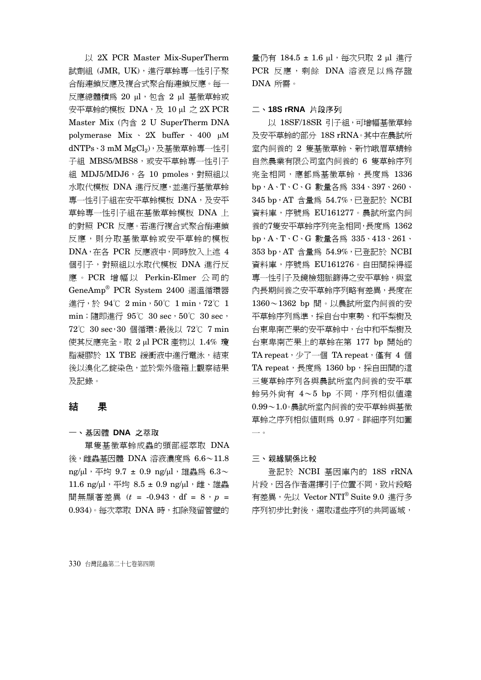以 2X PCR Master Mix-SuperTherm 試劑組 (JMR, UK), 進行草蛉專一性引子聚 合酶連鎖反應及複合式聚合酶連鎖反應。每一 反應總體積為 20 μl,包含 2 μl 基徵草蛉或  $\overline{x}$ 平草蛉的模板 DNA,及 10 μl 之 2X PCR Master Mix (內含 2 U SuperTherm DNA polymerase Mix 、 2X buffer 、 400 μΜ dNTPs、3 mM MgCl2),及基徵草蛉專一性引 子組 MBS5/MBS8,或安平草蛉專一性引子 組 MDJ5/MDJ6, 各 10 pmoles, 對照組以 水取代模板 DNA 進行反應,並進行基徵草蛉 專一性引子組在安平草蛉模板 DNA,及安平 草蛉專一性引子組在基徵草蛉模板 DNA 上 的對照 PCR 反應。若進行複合式聚合酶連鎖 反應,則分取基徵草蛉或安平草蛉的模板 DNA,在各 PCR 反應液中,同時放入上述 4 個引子,對照組以水取代模板 DNA 進行反 應 。 PCR 增幅以 Perkin-Elmer 公司的 GeneAmp® PCR System 2400 迴溫循環器 進行,於 94℃ 2 min,50℃ 1 min,72℃ 1 min; 隨即進行 95℃ 30 sec, 50℃ 30 sec, 72℃ 30 sec,30 個循環;最後以 72℃ 7 min 使其反應完全。取 2 μl PCR 產物以 1.4% 瓊 脂凝膠於 1X TBE 緩衝液中進行電泳,結束 後以溴化乙錠染色,並於紫外燈箱上觀察結果 及記錄。

## 結 果

## 一、基因體 **DNA** 之萃取

單隻基徵草蛉成蟲的頭部經萃取 DNA 後,雌蟲基因體 DNA 溶液濃度為 6.6~11.8 ng/μl,平均 9.7 ± 0.9 ng/μl,雄蟲為  $6.3\sim$ 11.6 ng/μl,平均 8.5 ± 0.9 ng/μl,雌、雄蟲 間無顯著差異 ( $t = -0.943$ , df = 8,  $p =$ 0.934)。每次萃取 DNA 時, 扣除殘留管壁的 量仍有 184.5 ± 1.6 μl, 每次只取 2 μl 進行 PCR 反應,剩餘 DNA 溶液足以為存證 DNA 所需。

#### 二、**18S rRNA** 片段序列

以 18SF/18SR 引子組,可增幅基徵草蛉 及安平草蛉的部分 18S rRNA。其中在農試所 室內飼養的 2 隻基徵草蛉、新竹峨眉草蜻蛉 自然農業有限公司室內飼養的 6 隻草蛉序列 完全相同,應都為基徵草蛉,長度為 1336 bp,A、T、C、G 數量各為 334、397、260、 345 bp,AT 含量為 54.7%,已登記於 NCBI 資料庫,序號為 EU161277。農試所室內飼 養的7隻安平草蛉序列完全相同,長度為 1362 bp,A、T、C、G 數量各為 335、413、261、 353 bp,AT 含量為 54.9%,已登記於 NCBI 資料庫,序號為 EU161276。自田間採得經 專一性引子及鏡檢翅脈篩得之安平草蛉,與室 內長期飼養之安平草蛉序列略有差異,長度在 1360~1362 bp 間。以農試所室內飼養的安 平草蛉序列為準,採自台中東勢、和平梨樹及 台東卑南芒果的安平草蛉中,台中和平梨樹及 台東卑南芒果上的草蛉在第 177 bp 開始的 TA repeat, 少了一個 TA repeat, 僅有 4個 TA repeat,長度為 1360 bp,採自田間的這 三隻草蛉序列各與農試所室內飼養的安平草 蛉另外尚有 4~5 bp 不同,序列相似值達 0.99~1.0。農試所室內飼養的安平草蛉與基徵 草蛉之序列相似值則為 0.97。詳細序列如圖 一。

### 三、親緣關係比較

登記於 NCBI 基因庫內的 18S rRNA 片段,因各作者選擇引子位置不同,致片段略 有差異,先以 Vector NTI® Suite 9.0 進行多 序列初步比對後,選取這些序列的共同區域,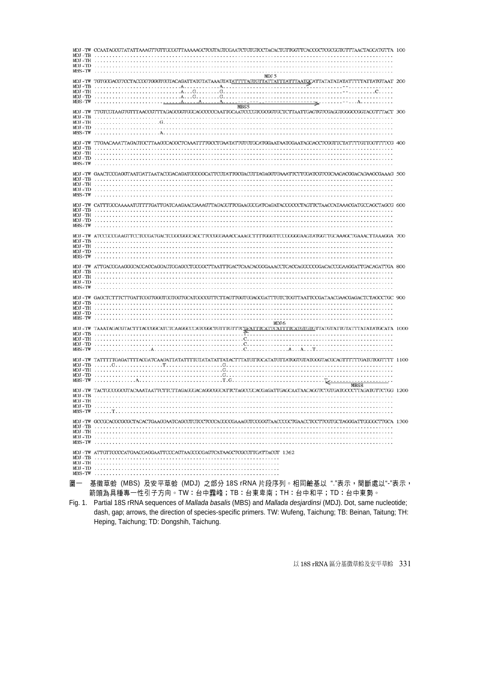| MDJ-TW CCAATAGCGTATATTAAAGTTGTTGCGGTTAAAAAGCTCGTAGTCGAATCTGTGTCCTACACTGTTGGTTCACCGCTCGCGGTGTTTAACTAGCATGTTA 100<br>MBS-TW            |  |
|--------------------------------------------------------------------------------------------------------------------------------------|--|
| MDJ 5<br>MBS5                                                                                                                        |  |
| MDJ-TW TTGTCGTAAGTGTTTAACCGTTTAGAGCGGTGGCAGCCCCCAATTGCAATCCCGTCGCGGTGCTCTTAATTGAGTGTCGAGGTGGGCCGGTACGTTTACT 300                      |  |
| MDJ-TW-TTGAACAAATTAGAGTGCTTAAGGCAGGCTCAAATTTTGCCTGAATATTGTGCATGGAATAATGGAATAGGACCTCGGTTCTATTTTGTTGGTTTTCG-400                        |  |
| MDJ-TW GAACTCCGAGGTAATGATTAATACGGACAGATGGGGGCATTCGTATTGCGACGTTAGAGGTGAAATTCTTGGATCGTCGCAAGACGGACAGAAGCGAAAG 500<br>MDJ-TB<br>MBS-TW  |  |
| MDJ-TW CATTTGCCAAAAATGTTTTGATTGATCAAGAACGAAAGTTAGAGGTTCGAAGGCGATCAGATACCGCCCTAGTTCTAACCATAAACGATGCCAGCTAGCG 600<br>MBS-TW            |  |
| MDJ -TW ATCCGCCGAAGTTCCTCCGATGACTCGGCGGCAGCTTCCGGGAAACCAAAGCTTTTGGGTTCCGGGGAAGTATGGTTGCAAAGCTGAAACTTAAAGGA 700                       |  |
| MDJ -TW ATTGACGGAAGGGCACCAGCAGGAGTGGAGCCTGCGGCTTAATTTGACTCAACACGGGAAACCTCACCAGGCCCGGACACCGGAAGGATTGACAGTTGA 800                      |  |
| MDJ 6                                                                                                                                |  |
| MDJ-TW TAAATAGACGTACTITACCGGCATCTCAAGGCCCATCGGCTGTTTGTTTCLEATTTCATTCATTTTCATGTGTTATGTATTGTATTTTATATATGCATA 1000                      |  |
| MDJ -TW TATTTTTGAGATTTTACGATCAAGATTATATTTTGTATATATTATATCTTTATGTTGCATATGTTATGGTGTATGGGTACGCAGTTTTTTGATGTGGTTTT 1100<br>MBS-TW<br>MBS8 |  |
| MDJ -TW TACTGCCGGCGTACAAATAATTCTTCTTAGAGGGACAGGCGGCATTCTAGCCGCACGAGATTGAGCAATAACAGGTCTGTGATGCCCTTAGATGTTCTGG 1200<br>MBS-TW          |  |
| MDJ -TW GCCGCACGCGCGCTACACTGAAGGAATCAGCGTGTCCTCCCAGGCCGAAAGGTCCGGGTAACCCGCTGAACCTCCTTCGTGCTAGGGATTGGGGCTTGCA 1300                    |  |
| MDJ - TW ATTGTTCCCCATGAACGAGGAATTCCCAGTAAGCGCGAGTCATAAGCTCGCGTTGATTACGT 1362                                                         |  |
| 基徵草蛉 (MBS) 及安平草蛉 (MDJ) 之部分 18S rRNA 片段序列。相同鹼基以"."表示,間斷處以"-"表示,<br>圖一                                                                 |  |

箭頭為具種專一性引子方向。TW:台中霧峰;TB:台東卑南;TH:台中和平;TD:台中東勢。 Fig. 1. Partial 18S rRNA sequences of *Mallada basalis* (MBS) and *Mallada desjardinsi* (MDJ). Dot, same nucleotide; dash, gap; arrows, the direction of species-specific primers. TW: Wufeng, Taichung; TB: Beinan, Taitung; TH: Heping, Taichung; TD: Dongshih, Taichung.

以 18S rRNA 區分基徵草蛉及安平草蛉 331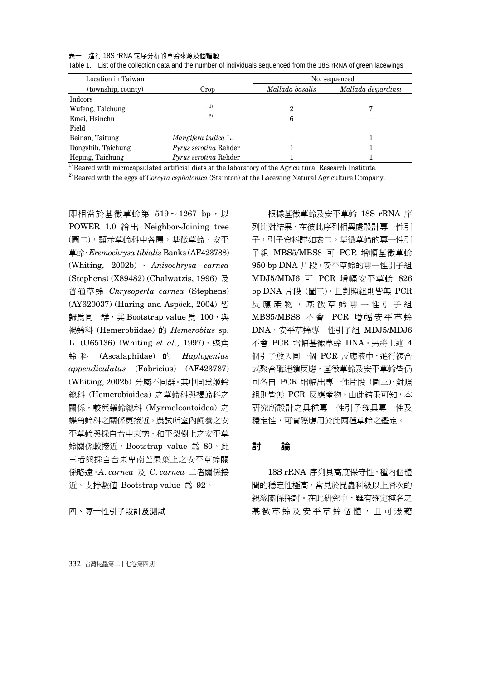#### 表一 進行 18S rRNA 定序分析的草蛉來源及個體數

| Location in Taiwan |                       | No. sequenced   |                     |  |
|--------------------|-----------------------|-----------------|---------------------|--|
| (township, county) | Crop                  | Mallada basalis | Mallada desjardinsi |  |
| Indoors            |                       |                 |                     |  |
| Wufeng, Taichung   | $-^{1)}$              | 2               |                     |  |
| Emei, Hsinchu      | $\equiv$ 2)           | 6               |                     |  |
| Field              |                       |                 |                     |  |
| Beinan, Taitung    | Mangifera indica L.   |                 |                     |  |
| Dongshih, Taichung | Pyrus serotina Rehder |                 |                     |  |
| Heping, Taichung   | Pyrus serotina Rehder |                 |                     |  |

Table 1. List of the collection data and the number of individuals sequenced from the 18S rRNA of green lacewings

 $1)$  Reared with microcapsulated artificial diets at the laboratory of the Agricultural Research Institute.

2) Reared with the eggs of *Corcyra cephalonica* (Stainton) at the Lacewing Natural Agriculture Company.

即相當於基徵草蛉第 519~1267 bp, 以 POWER 1.0 繪出 Neighbor-Joining tree (圖二),顯示草蛉科中各屬,基徵草蛉、安平 草蛉、*Eremochrysa tibialis* Banks (AF423788) (Whiting, 2002b) 、 *Anisochrysa carnea* (Stephens) (X89482) (Chalwatzis, 1996) 及 普通草蛉 *Chrysoperla carnea* (Stephens) (AY620037) (Haring and Aspöck, 2004) 皆 歸為同一群,其 Bootstrap value 為 100,與 褐蛉科 (Hemerobiidae) 的 *Hemerobius* sp. L. (U65136) (Whiting *et al*., 1997)、蝶角 蛉 科 (Ascalaphidae) 的 *Haplogenius appendiculatus* (Fabricius) (AF423787) (Whiting, 2002b) 分屬不同群。其中同為姬蛉 總科 (Hemerobioidea) 之草蛉科與褐蛉科之 關係,較與蟻蛉總科 (Myrmeleontoidea) 之 蝶角蛉科之關係更接近。農試所室內飼養之安 平草蛉與採自台中東勢、和平梨樹上之安平草 蛉關係較接近,Bootstrap value 為 80,此 三者與採自台東卑南芒果葉上之安平草蛉關 係略遠。*A*. *carnea* 及 *C*. *carnea* 二者關係接 近,支持數值 Bootstrap value 為 92。

四、專一性引子設計及測試

根據基徵草蛉及安平草蛉 18S rRNA 序 列比對結果,在彼此序列相異處設計專一性引 子,引子資料詳如表二。基徵草蛉的專一性引 子組 MBS5/MBS8 可 PCR 增幅基徵草蛉 950 bp DNA 片段,安平草蛉的專一性引子組 MDJ5/MDJ6 可 PCR 增幅安平草蛉 826 bp DNA 片段 (圖三),且對照組則皆無 PCR 反應產物,基徵草蛉專一性引子組 MBS5/MBS8 不 會 PCR 增幅安平草蛉 DNA,安平草蛉專一性引子組 MDJ5/MDJ6 不會 PCR 增幅基徵草蛉 DNA。另將上述 4 個引子放入同一個 PCR 反應液中,進行複合 式聚合酶連鎖反應,基徵草蛉及安平草蛉皆仍 可各自 PCR 增幅出專一性片段 (圖三),對照 組則皆無 PCR 反應產物。由此結果可知,本 研究所設計之具種專一性引子確具專一性及 穩定性,可實際應用於此兩種草蛉之鑑定。

## 討 論

18S rRNA 序列具高度保守性,種內個體 間的穩定性極高,常見於昆蟲科級以上層次的 親緣關係探討。在此研究中,雖有確定種名之 基徵草蛉及安平草蛉個體,且可憑藉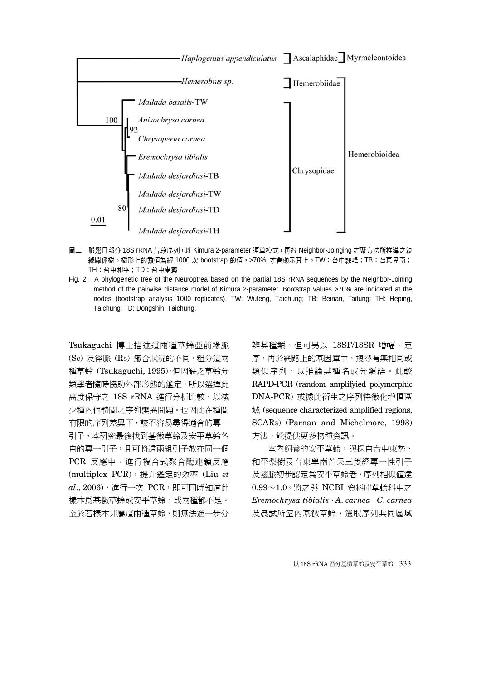

- 圖二 脈翅目部分 18S rRNA 片段序列,以 Kimura 2-parameter 運算模式,再經 Neighbor-Joinging 群聚方法所推導之親 緣關係樹。樹形上的數值為經 1000 次 bootstrap 的值,>70% 才會顯示其上。TW:台中霧峰;TB:台東卑南; TH:台中和平;TD:台中東勢
- Fig. 2. A phylogenetic tree of the Neuroptrea based on the partial 18S rRNA sequences by the Neighbor-Joining method of the pairwise distance model of Kimura 2-parameter. Bootstrap values >70% are indicated at the nodes (bootstrap analysis 1000 replicates). TW: Wufeng, Taichung; TB: Beinan, Taitung; TH: Heping, Taichung; TD: Dongshih, Taichung.

Tsukaguchi 博士描述這兩種草蛉亞前緣脈 (Sc) 及徑脈 (Rs) 癒合狀況的不同,粗分這兩 種草蛉 (Tsukaguchi, 1995),但因缺乏草蛉分 類學者隨時協助外部形態的鑑定,所以選擇此 高度保守之 18S rRNA 進行分析比較,以減 少種內個體間之序列變異問題。也因此在種間 有限的序列差異下,較不容易尋得適合的專一 引子,本研究最後找到基徵草蛉及安平草蛉各 自的專一引子,且可將這兩組引子放在同一個 PCR 反應中,進行複合式聚合酶連鎖反應 (multiplex PCR),提升鑑定的效率 (Liu *et*   $al., 2006)$ , 進行一次 PCR, 即可同時知道此 樣本為基徵草蛉或安平草蛉,或兩種都不是。 至於若樣本非屬這兩種草蛉,則無法進一步分

辨其種類,但可另以 18SF/18SR 增幅、定 序,再於網路上的基因庫中,搜尋有無相同或 類似序列,以推論其種名或分類群。此較 RAPD-PCR (random amplifyied polymorphic DNA-PCR) 或據此衍生之序列特徵化增幅區 域 (sequence characterized amplified regions, SCARs) (Parnan and Michelmore, 1993) 方法,能提供更多物種資訊。

室內飼養的安平草蛉,與採自台中東勢、 和平梨樹及台東卑南芒果三隻經專一性引子 及翅脈初步認定為安平草蛉者,序列相似值達 0.99~1.0。將之與 NCBI 資料庫草蛉科中之 *Eremochrysa tibialis*、*A*. *carnea*、*C*. *carnea*  及農試所室內基徵草蛉,選取序列共同區域

以 18S rRNA 區分基徵草蛉及安平草蛉 333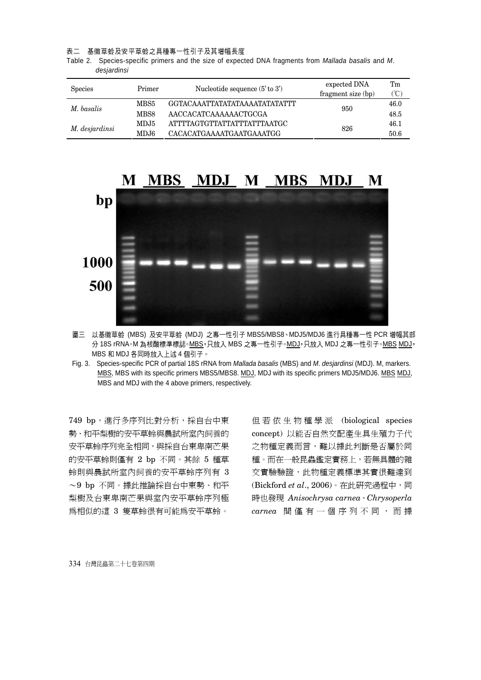表二 基徵草蛉及安平草蛉之具種專一性引子及其增幅長度

Table 2. Species-specific primers and the size of expected DNA fragments from *Mallada basalis* and *M*. *desjardinsi*

| <b>Species</b><br>Primer |      | Nucleotide sequence $(5'$ to $3')$ | expected DNA       | Tm   |
|--------------------------|------|------------------------------------|--------------------|------|
|                          |      |                                    | fragment size (bp) | (°C) |
| M. basalis               | MBS5 | GGTACAAATTATATATAAAATATATATTT      | 950                | 46.0 |
|                          | MBS8 | AACCACATCAAAAAACTGCGA              |                    | 48.5 |
| M. desjardinsi           | MDJ5 | ATTTTAGTGTTATTATTTATTTAATGC        | 826                | 46.1 |
|                          | MDJ6 | CACACATGAAAATGAATGAAATGG           |                    | 50.6 |



圖三 以基徵草蛉 (MBS) 及安平草蛉 (MDJ) 之專一性引子 MBS5/MBS8、MDJ5/MDJ6 進行具種專一性 PCR 增幅其部 分 18S rRNA。M 為核酸標準標誌。MBS,只放入 MBS 之專一性引子。MDJ,只放入 MDJ 之專一性引子。MBS MDJ, MBS 和 MDJ 各同時放入上述 4 個引子。

Fig. 3. Species-specific PCR of partial 18S rRNA from *Mallada basalis* (MBS) and *M*. *desjardinsi* (MDJ). M, markers. MBS, MBS with its specific primers MBS5/MBS8. MDJ, MDJ with its specific primers MDJ5/MDJ6. MBS MDJ, MBS and MDJ with the 4 above primers, respectively.

749 bp, 進行多序列比對分析, 採自台中東 勢、和平梨樹的安平草蛉與農試所室內飼養的 安平草蛉序列完全相同,與採自台東卑南芒果 的安平草蛉則僅有 2 bp 不同。其餘 5 種草 蛉則與農試所室內飼養的安平草蛉序列有 3 ~9 bp 不同。據此推論採自台中東勢、和平 梨樹及台東卑南芒果與室內安平草蛉序列極 為相似的這 3 隻草蛉很有可能為安平草蛉。

但若依生物種學派 (biological species concept) 以能否自然交配產生具生殖力子代 之物種定義而言,難以據此判斷是否屬於同 種。而在一般昆蟲鑑定實務上,若無具體的雜 交實驗驗證,此物種定義標準其實很難達到 (Bickford *et al*., 2006)。在此研究過程中,同 時也發現 *Anisochrysa carnea*、*Chrysoperla carnea* 間僅有一個序列不同,而據

334 台灣昆蟲第二十七卷第四期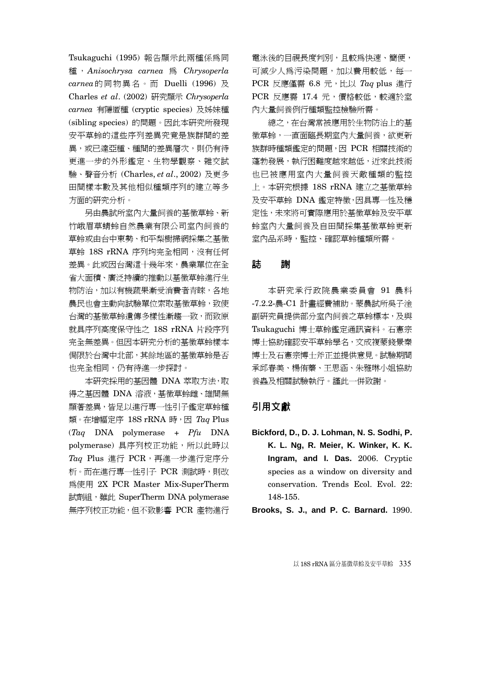Tsukaguchi (1995) 報告顯示此兩種係為同 種 , *Anisochrysa carnea* 為 *Chrysoperla carnea*的同物異名。而 Duelli (1996) 及 Charles *et al*. (2002) 研究顯示 *Chrysoperla carnea* 有隱匿種 (cryptic species) 及姊妹種 (sibling species) 的問題。因此本研究所發現 安平草蛉的這些序列差異究竟是族群間的差 異,或已達亞種、種間的差異層次,則仍有待 更進一步的外形鑑定、生物學觀察、雜交試 驗、聲音分析 (Charles, *et al*., 2002) 及更多 田間樣本數及其他相似種類序列的建立等多 方面的研究分析。

另由農試所室內大量飼養的基徵草蛉、新 竹峨眉草蜻蛉自然農業有限公司室內飼養的 草蛉或由台中東勢、和平梨樹掃網採集之基徵 草蛉 18S rRNA 序列均完全相同,沒有任何 差異。此或因台灣這十幾年來,農業單位在全 省大面積、廣泛持續的推動以基徵草蛉進行生 物防治,加以有機蔬果漸受消費者青睞,各地 農民也會主動向試驗單位索取基徵草蛉,致使 台灣的基徵草蛉遺傳多樣性漸趨一致,而致原 就具序列高度保守性之 18S rRNA 片段序列 完全無差異。但因本研究分析的基徵草蛉樣本 侷限於台灣中北部,其餘地區的基徵草蛉是否 也完全相同,仍有待進一步探討。

本研究採用的基因體 DNA 萃取方法,取 得之基因體 DNA 溶液,基徵草蛉雌、雄間無 顯著差異,皆足以進行專一性引子鑑定草蛉種 類。在增幅定序 18S rRNA 時,因 *Taq* Plus (*Taq* DNA polymerase + *Pfu* DNA polymerase) 具序列校正功能,所以此時以 *Taq* Plus 進行 PCR,再進一步進行定序分 析。而在進行專一性引子 PCR 測試時,則改 為使用 2X PCR Master Mix-SuperTherm 試劑組, 雖此 SuperTherm DNA polymerase 無序列校正功能,但不致影響 PCR 產物進行 電泳後的目視長度判別,且較為快速、簡便, 可減少人為污染問題,加以費用較低,每一 PCR 反應僅需 6.8 元,比以 *Taq* plus 進行 PCR 反應需 17.4 元,價格較低,較適於室 內大量飼養例行種類監控檢驗所需。

總之,在台灣常被應用於生物防治上的基 徵草蛉,一直面臨長期室內大量飼養,欲更新 族群時種類鑑定的問題,因 PCR 相關技術的 蓬勃發展,執行困難度越來越低,近來此技術 也已被應用室內大量飼養天敵種類的監控 上。本研究根據 18S rRNA 建立之基徵草蛉 及安平草蛉 DNA 鑑定特徵,因具專一性及穩 定性,未來將可實際應用於基徵草蛉及安平草 蛉室內大量飼養及自田間採集基徵草蛉更新 室內品系時,監控、確認草蛉種類所需。

## 誌 謝

本研究承行政院農業委員會 91 農科 -7.2.2-農-C1 計畫經費補助。蒙農試所吳子淦 副研究員提供部分室內飼養之草蛉標本,及與 Tsukaguchi 博士草蛉鑑定通訊資料。石憲宗 博士協助確認安平草蛉學名,文成複蒙錢景秦 博士及石憲宗博士斧正並提供意見。試驗期間 承邱春美、楊侑蓁、王思涵、朱雅琳小姐協助 養蟲及相關試驗執行。謹此一併致謝。

## 引用文獻

**Bickford, D., D. J. Lohman, N. S. Sodhi, P. K. L. Ng, R. Meier, K. Winker, K. K. Ingram, and I. Das.** 2006. Cryptic species as a window on diversity and conservation. Trends Ecol. Evol. 22: 148-155.

**Brooks, S. J., and P. C. Barnard.** 1990.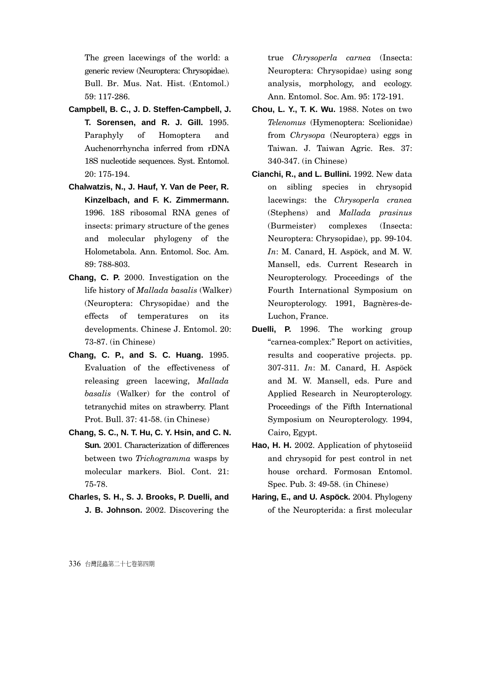The green lacewings of the world: a generic review (Neuroptera: Chrysopidae). Bull. Br. Mus. Nat. Hist. (Entomol.) 59: 117-286.

- **Campbell, B. C., J. D. Steffen-Campbell, J. T. Sorensen, and R. J. Gill.** 1995. Paraphyly of Homoptera and Auchenorrhyncha inferred from rDNA 18S nucleotide sequences. Syst. Entomol. 20: 175-194.
- **Chalwatzis, N., J. Hauf, Y. Van de Peer, R. Kinzelbach, and F. K. Zimmermann.** 1996. 18S ribosomal RNA genes of insects: primary structure of the genes and molecular phylogeny of the Holometabola. Ann. Entomol. Soc. Am. 89: 788-803.
- **Chang, C. P.** 2000. Investigation on the life history of *Mallada basalis* (Walker) (Neuroptera: Chrysopidae) and the effects of temperatures on its developments. Chinese J. Entomol. 20: 73-87. (in Chinese)
- **Chang, C. P., and S. C. Huang.** 1995. Evaluation of the effectiveness of releasing green lacewing, *Mallada basalis* (Walker) for the control of tetranychid mites on strawberry. Plant Prot. Bull. 37: 41-58. (in Chinese)
- **Chang, S. C., N. T. Hu, C. Y. Hsin, and C. N. Sun.** 2001. Characterization of differences between two *Trichogramma* wasps by molecular markers. Biol. Cont. 21: 75-78.
- **Charles, S. H., S. J. Brooks, P. Duelli, and J. B. Johnson.** 2002. Discovering the

true *Chrysoperla carnea* (Insecta: Neuroptera: Chrysopidae) using song analysis, morphology, and ecology. Ann. Entomol. Soc. Am. 95: 172-191.

- **Chou, L. Y., T. K. Wu.** 1988. Notes on two *Telenomus* (Hymenoptera: Scelionidae) from *Chrysopa* (Neuroptera) eggs in Taiwan. J. Taiwan Agric. Res. 37: 340-347. (in Chinese)
- **Cianchi, R., and L. Bullini.** 1992. New data on sibling species in chrysopid lacewings: the *Chrysoperla cranea* (Stephens) and *Mallada prasinus* (Burmeister) complexes (Insecta: Neuroptera: Chrysopidae), pp. 99-104. *In*: M. Canard, H. Aspöck, and M. W. Mansell, eds. Current Research in Neuropterology. Proceedings of the Fourth International Symposium on Neuropterology. 1991, Bagnères-de-Luchon, France.
- **Duelli, P.** 1996. The working group "carnea-complex:" Report on activities, results and cooperative projects. pp. 307-311. *In*: M. Canard, H. Aspöck and M. W. Mansell, eds. Pure and Applied Research in Neuropterology. Proceedings of the Fifth International Symposium on Neuropterology. 1994, Cairo, Egypt.
- **Hao, H. H.** 2002. Application of phytoseiid and chrysopid for pest control in net house orchard. Formosan Entomol. Spec. Pub. 3: 49-58. (in Chinese)
- **Haring, E., and U. Aspöck.** 2004. Phylogeny of the Neuropterida: a first molecular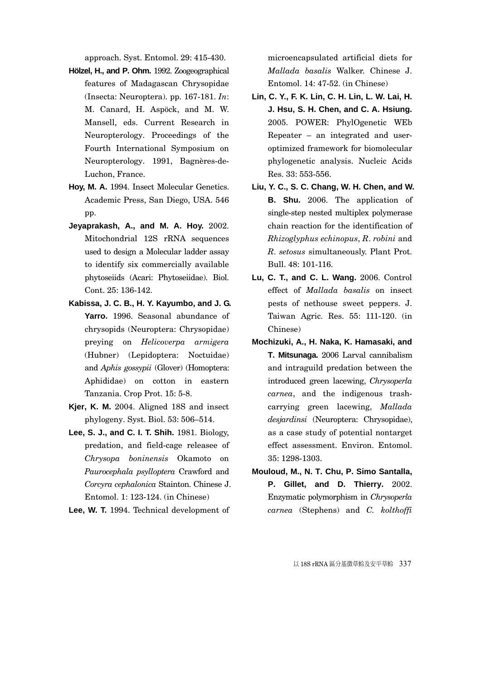approach. Syst. Entomol. 29: 415-430.

- **Hölzel, H., and P. Ohm.** 1992. Zoogeographical features of Madagascan Chrysopidae (Insecta: Neuroptera). pp. 167-181. *In*: M. Canard, H. Aspöck, and M. W. Mansell, eds. Current Research in Neuropterology. Proceedings of the Fourth International Symposium on Neuropterology. 1991, Bagnères-de-Luchon, France.
- **Hoy, M. A.** 1994. Insect Molecular Genetics. Academic Press, San Diego, USA. 546 pp.
- **Jeyaprakash, A., and M. A. Hoy.** 2002. Mitochondrial 12S rRNA sequences used to design a Molecular ladder assay to identify six commercially available phytoseiids (Acari: Phytoseiidae). Biol. Cont. 25: 136-142.
- **Kabissa, J. C. B., H. Y. Kayumbo, and J. G. Yarro.** 1996. Seasonal abundance of chrysopids (Neuroptera: Chrysopidae) preying on *Helicoverpa armigera*  (Hubner) (Lepidoptera: Noctuidae) and *Aphis gossypii* (Glover) (Homoptera: Aphididae) on cotton in eastern Tanzania. Crop Prot. 15: 5-8.
- **Kjer, K. M.** 2004. Aligned 18S and insect phylogeny. Syst. Biol. 53: 506–514.
- **Lee, S. J., and C. I. T. Shih.** 1981. Biology, predation, and field-cage releasee of *Chrysopa boninensis* Okamoto on *Paurocephala psylloptera* Crawford and *Corcyra cephalonica* Stainton. Chinese J. Entomol. 1: 123-124. (in Chinese)
- **Lee, W. T.** 1994. Technical development of

microencapsulated artificial diets for *Mallada basalis* Walker. Chinese J. Entomol. 14: 47-52. (in Chinese)

- **Lin, C. Y., F. K. Lin, C. H. Lin, L. W. Lai, H. J. Hsu, S. H. Chen, and C. A. Hsiung.** 2005. POWER: PhylOgenetic WEb Repeater – an integrated and useroptimized framework for biomolecular phylogenetic analysis. Nucleic Acids Res. 33: 553-556.
- **Liu, Y. C., S. C. Chang, W. H. Chen, and W. B. Shu.** 2006. The application of single-step nested multiplex polymerase chain reaction for the identification of *Rhizoglyphus echinopus*, *R*. *robini* and *R*. *setosus* simultaneously. Plant Prot. Bull. 48: 101-116.
- **Lu, C. T., and C. L. Wang.** 2006. Control effect of *Mallada basalis* on insect pests of nethouse sweet peppers. J. Taiwan Agric. Res. 55: 111-120. (in Chinese)
- **Mochizuki, A., H. Naka, K. Hamasaki, and T. Mitsunaga.** 2006 Larval cannibalism and intraguild predation between the introduced green lacewing, *Chrysoperla carnea*, and the indigenous trashcarrying green lacewing, *Mallada desjardinsi* (Neuroptera: Chrysopidae), as a case study of potential nontarget effect assessment. Environ. Entomol. 35: 1298-1303.
- **Mouloud, M., N. T. Chu, P. Simo Santalla, P. Gillet, and D. Thierry.** 2002. Enzymatic polymorphism in *Chrysoperla carnea* (Stephens) and *C. kolthoffi*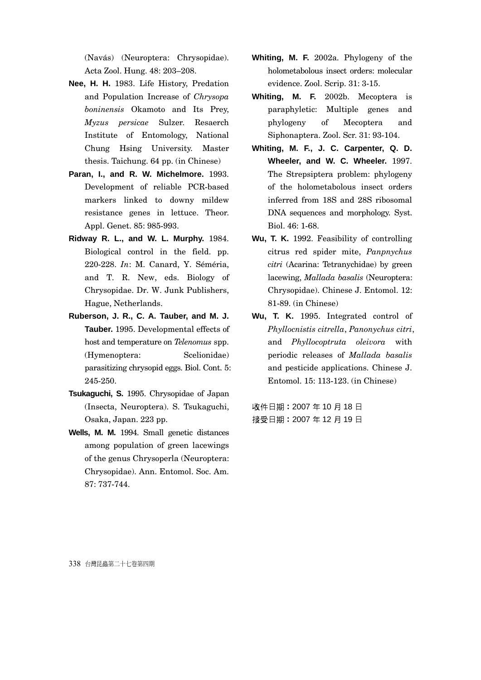(Navás) (Neuroptera: Chrysopidae). Acta Zool. Hung. 48: 203–208.

- **Nee, H. H.** 1983. Life History, Predation and Population Increase of *Chrysopa boninensis* Okamoto and Its Prey, *Myzus persicae* Sulzer. Resaerch Institute of Entomology, National Chung Hsing University. Master thesis. Taichung. 64 pp. (in Chinese)
- **Paran, I., and R. W. Michelmore.** 1993. Development of reliable PCR-based markers linked to downy mildew resistance genes in lettuce. Theor. Appl. Genet. 85: 985-993.
- **Ridway R. L., and W. L. Murphy.** 1984. Biological control in the field. pp. 220-228. *In*: M. Canard, Y. Séméria, and T. R. New, eds. Biology of Chrysopidae. Dr. W. Junk Publishers, Hague, Netherlands.
- **Ruberson, J. R., C. A. Tauber, and M. J. Tauber.** 1995. Developmental effects of host and temperature on *Telenomus* spp. (Hymenoptera: Scelionidae) parasitizing chrysopid eggs. Biol. Cont. 5: 245-250.
- **Tsukaguchi, S.** 1995. Chrysopidae of Japan (Insecta, Neuroptera). S. Tsukaguchi, Osaka, Japan. 223 pp.
- **Wells, M. M.** 1994. Small genetic distances among population of green lacewings of the genus Chrysoperla (Neuroptera: Chrysopidae). Ann. Entomol. Soc. Am. 87: 737-744.
- **Whiting, M. F.** 2002a. Phylogeny of the holometabolous insect orders: molecular evidence. Zool. Scrip. 31: 3-15.
- **Whiting, M. F.** 2002b. Mecoptera is paraphyletic: Multiple genes and phylogeny of Mecoptera and Siphonaptera. Zool. Scr. 31: 93-104.
- **Whiting, M. F., J. C. Carpenter, Q. D. Wheeler, and W. C. Wheeler.** 1997. The Strepsiptera problem: phylogeny of the holometabolous insect orders inferred from 18S and 28S ribosomal DNA sequences and morphology. Syst. Biol. 46: 1-68.
- **Wu, T. K.** 1992. Feasibility of controlling citrus red spider mite, *Panpnychus citri* (Acarina: Tetranychidae) by green lacewing, *Mallada basalis* (Neuroptera: Chrysopidae). Chinese J. Entomol. 12: 81-89. (in Chinese)
- **Wu, T. K.** 1995. Integrated control of *Phyllocnistis citrella*, *Panonychus citri*, and *Phyllocoptruta oleivora* with periodic releases of *Mallada basalis* and pesticide applications. Chinese J. Entomol. 15: 113-123. (in Chinese)

收件日期:2007 年 10 月 18 日 接受日期:2007 年 12 月 19 日

338 台灣昆蟲第二十七卷第四期